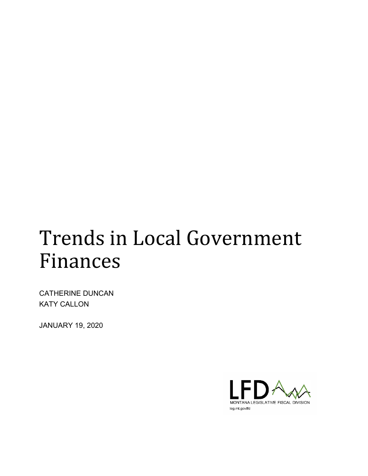# Trends in Local Government Finances

CATHERINE DUNCAN KATY CALLON

JANUARY 19, 2020

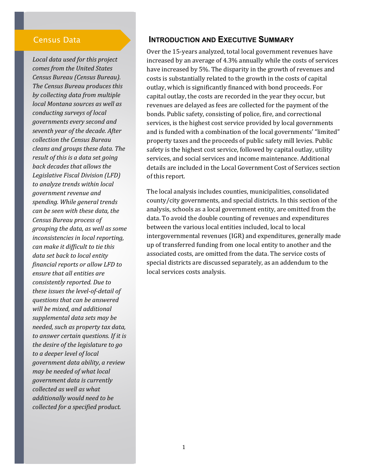#### Census Data

*Local data used for this project comes from the United States Census Bureau (Census Bureau). The Census Bureau produces this by collecting data from multiple local Montana sources as well as conducting surveys of local governments every second and seventh year of the decade. After collection the Census Bureau cleans and groups these data. The result of this is a data set going back decades that allows the Legislative Fiscal Division (LFD) to analyze trends within local government revenue and spending. While general trends can be seen with these data, the Census Bureau process of grouping the data, as well as some inconsistencies in local reporting, can make it difficult to tie this data set back to local entity financial reports or allow LFD to ensure that all entities are consistently reported. Due to these issues the level-of-detail of questions that can be answered will be mixed, and additional supplemental data sets may be needed, such as property tax data, to answer certain questions. If it is the desire of the legislature to go to a deeper level of local government data ability, a review may be needed of what local government data is currently collected as well as what additionally would need to be collected for a specified product.*

### **INTRODUCTION AND EXECUTIVE SUMMARY**

Over the 15-years analyzed, total local government revenues have increased by an average of 4.3% annually while the costs of services have increased by 5%. The disparity in the growth of revenues and costs is substantially related to the growth in the costs of capital outlay, which is significantly financed with bond proceeds. For capital outlay, the costs are recorded in the year they occur, but revenues are delayed as fees are collected for the payment of the bonds. Public safety, consisting of police, fire, and correctional services, is the highest cost service provided by local governments and is funded with a combination of the local governments' "limited" property taxes and the proceeds of public safety mill levies. Public safety is the highest cost service, followed by capital outlay, utility services, and social services and income maintenance. Additional details are included in the Local Government Cost of Services section of this report.

The local analysis includes counties, municipalities, consolidated county/city governments, and special districts. In this section of the analysis, schools as a local government entity, are omitted from the data. To avoid the double counting of revenues and expenditures between the various local entities included, local to local intergovernmental revenues (IGR) and expenditures, generally made up of transferred funding from one local entity to another and the associated costs, are omitted from the data. The service costs of special districts are discussed separately, as an addendum to the local services costs analysis.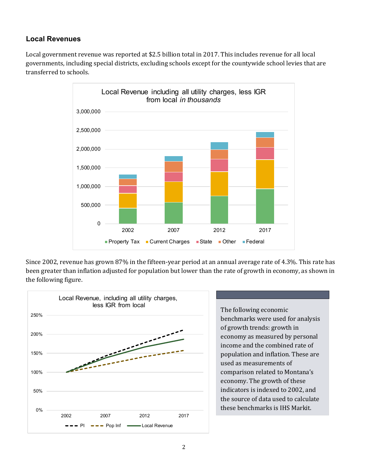## **Local Revenues**

Local government revenue was reported at \$2.5 billion total in 2017. This includes revenue for all local governments, including special districts, excluding schools except for the countywide school levies that are transferred to schools.



Since 2002, revenue has grown 87% in the fifteen-year period at an annual average rate of 4.3%. This rate has been greater than inflation adjusted for population but lower than the rate of growth in economy, as shown in the following figure.



The following economic benchmarks were used for analysis of growth trends: growth in economy as measured by personal income and the combined rate of population and inflation. These are used as measurements of comparison related to Montana's economy. The growth of these indicators is indexed to 2002, and the source of data used to calculate these benchmarks is IHS Markit.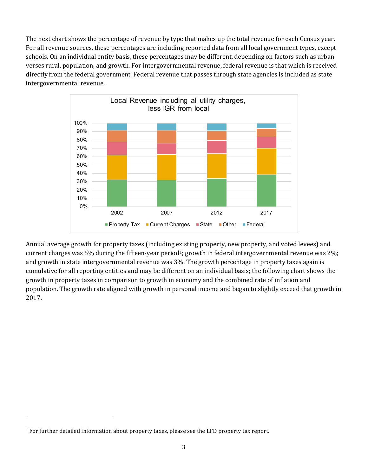The next chart shows the percentage of revenue by type that makes up the total revenue for each Census year. For all revenue sources, these percentages are including reported data from all local government types, except schools. On an individual entity basis, these percentages may be different, depending on factors such as urban verses rural, population, and growth. For intergovernmental revenue, federal revenue is that which is received directly from the federal government. Federal revenue that passes through state agencies is included as state intergovernmental revenue.



Annual average growth for property taxes (including existing property, new property, and voted levees) and current charges was 5% during the fifteen-year period<sup>[1](#page-3-0)</sup>; growth in federal intergovernmental revenue was 2%; and growth in state intergovernmental revenue was 3%. The growth percentage in property taxes again is cumulative for all reporting entities and may be different on an individual basis; the following chart shows the growth in property taxes in comparison to growth in economy and the combined rate of inflation and population. The growth rate aligned with growth in personal income and began to slightly exceed that growth in 2017.

j

<span id="page-3-0"></span> $1$  For further detailed information about property taxes, please see the LFD property tax report.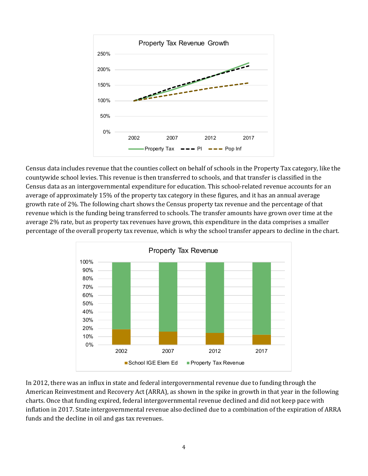

Census data includes revenue that the counties collect on behalf of schools in the Property Tax category, like the countywide school levies. This revenue is then transferred to schools, and that transfer is classified in the Census data as an intergovernmental expenditure for education. This school-related revenue accounts for an average of approximately 15% of the property tax category in these figures, and it has an annual average growth rate of 2%. The following chart shows the Census property tax revenue and the percentage of that revenue which is the funding being transferred to schools. The transfer amounts have grown over time at the average 2% rate, but as property tax revenues have grown, this expenditure in the data comprises a smaller percentage of the overall property tax revenue, which is why the school transfer appears to decline in the chart.



In 2012, there was an influx in state and federal intergovernmental revenue due to funding through the American Reinvestment and Recovery Act (ARRA), as shown in the spike in growth in that year in the following charts. Once that funding expired, federal intergovernmental revenue declined and did not keep pace with inflation in 2017. State intergovernmental revenue also declined due to a combination of the expiration of ARRA funds and the decline in oil and gas tax revenues.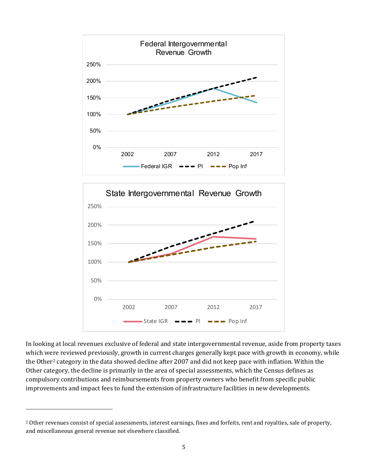



In looking at local revenues exclusive of federal and state intergovernmental revenue, aside from property taxes which were reviewed previously, growth in current charges generally kept pace with growth in economy, while the Other<sup>[2](#page-5-0)</sup> category in the data showed decline after 2007 and did not keep pace with inflation. Within the Other category, the decline is primarily in the area of special assessments, which the Census defines as compulsory contributions and reimbursements from property owners who benefit from specific public improvements and impact fees to fund the extension of infrastructure facilities in new developments.

j

<span id="page-5-0"></span><sup>&</sup>lt;sup>2</sup> Other revenues consist of special assessments, interest earnings, fines and forfeits, rent and royalties, sale of property, and miscellaneous general revenue not elsewhere classified.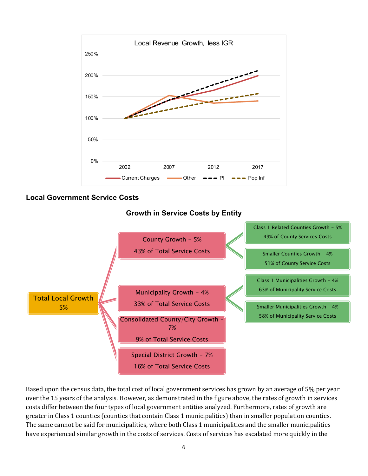

### **Local Government Service Costs**



Based upon the census data, the total cost of local government services has grown by an average of 5% per year over the 15 years of the analysis. However, as demonstrated in the figure above, the rates of growth in services costs differ between the four types of local government entities analyzed. Furthermore, rates of growth are greater in Class 1 counties (counties that contain Class 1 municipalities) than in smaller population counties. The same cannot be said for municipalities, where both Class 1 municipalities and the smaller municipalities have experienced similar growth in the costs of services. Costs of services has escalated more quickly in the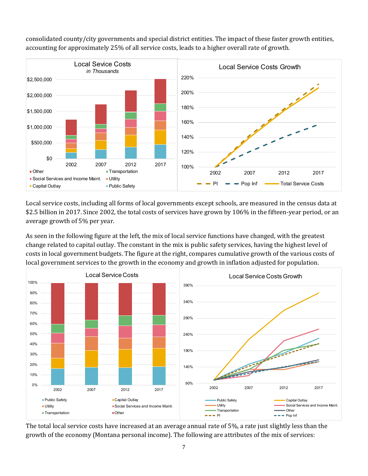

consolidated county/city governments and special district entities. The impact of these faster growth entities, accounting for approximately 25% of all service costs, leads to a higher overall rate of growth.

Local service costs, including all forms of local governments except schools, are measured in the census data at \$2.5 billion in 2017. Since 2002, the total costs of services have grown by 106% in the fifteen-year period, or an average growth of 5% per year.

As seen in the following figure at the left, the mix of local service functions have changed, with the greatest change related to capital outlay. The constant in the mix is public safety services, having the highest level of costs in local government budgets. The figure at the right, compares cumulative growth of the various costs of local government services to the growth in the economy and growth in inflation adjusted for population.



The total local service costs have increased at an average annual rate of 5%, a rate just slightly less than the growth of the economy (Montana personal income). The following are attributes of the mix of services: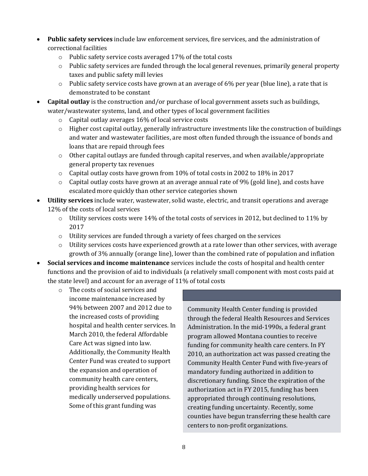- **Public safety services** include law enforcement services, fire services, and the administration of correctional facilities
	- o Public safety service costs averaged 17% of the total costs
	- o Public safety services are funded through the local general revenues, primarily general property taxes and public safety mill levies
	- $\circ$  Public safety service costs have grown at an average of 6% per year (blue line), a rate that is demonstrated to be constant
- **Capital outlay** is the construction and/or purchase of local government assets such as buildings, water/wastewater systems, land, and other types of local government facilities
	- o Capital outlay averages 16% of local service costs
	- $\circ$  Higher cost capital outlay, generally infrastructure investments like the construction of buildings and water and wastewater facilities, are most often funded through the issuance of bonds and loans that are repaid through fees
	- o Other capital outlays are funded through capital reserves, and when available/appropriate general property tax revenues
	- o Capital outlay costs have grown from 10% of total costs in 2002 to 18% in 2017
	- $\circ$  Capital outlay costs have grown at an average annual rate of 9% (gold line), and costs have escalated more quickly than other service categories shown
- **Utility services** include water, wastewater, solid waste, electric, and transit operations and average 12% of the costs of local services
	- o Utility services costs were 14% of the total costs of services in 2012, but declined to 11% by 2017
	- $\circ$  Utility services are funded through a variety of fees charged on the services
	- $\circ$  Utility services costs have experienced growth at a rate lower than other services, with average growth of 3% annually (orange line), lower than the combined rate of population and inflation
- **Social services and income maintenance** services include the costs of hospital and health center functions and the provision of aid to individuals (a relatively small component with most costs paid at the state level) and account for an average of 11% of total costs
	- o The costs of social services and income maintenance increased by 94% between 2007 and 2012 due to the increased costs of providing hospital and health center services. In March 2010, the federal Affordable Care Act was signed into law. Additionally, the Community Health Center Fund was created to support the expansion and operation of community health care centers, providing health services for medically underserved populations. Some of this grant funding was

Community Health Center funding is provided through the federal Health Resources and Services Administration. In the mid-1990s, a federal grant program allowed Montana counties to receive funding for community health care centers. In FY 2010, an authorization act was passed creating the Community Health Center Fund with five-years of mandatory funding authorized in addition to discretionary funding. Since the expiration of the authorization act in FY 2015, funding has been appropriated through continuing resolutions, creating funding uncertainty. Recently, some counties have begun transferring these health care centers to non-profit organizations.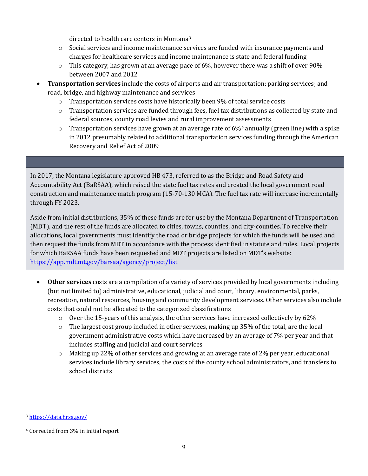directed to health care centers in Montana[3](#page-9-0)

- o Social services and income maintenance services are funded with insurance payments and charges for healthcare services and income maintenance is state and federal funding
- $\circ$  This category, has grown at an average pace of 6%, however there was a shift of over 90% between 2007 and 2012
- **Transportation services** include the costs of airports and air transportation; parking services; and road, bridge, and highway maintenance and services
	- o Transportation services costs have historically been 9% of total service costs
	- o Transportation services are funded through fees, fuel tax distributions as collected by state and federal sources, county road levies and rural improvement assessments
	- $\circ$  Transportation services have grown at an average rate of 6%<sup>[4](#page-9-1)</sup> annually (green line) with a spike in 2012 presumably related to additional transportation services funding through the American Recovery and Relief Act of 2009

# In 2017, the Montana legislature approved HB 473, referred to as the Bridge and Road Safety and

Accountability Act (BaRSAA), which raised the state fuel tax rates and created the local government road construction and maintenance match program (15-70-130 MCA). The fuel tax rate will increase incrementally through FY 2023.

Aside from initial distributions, 35% of these funds are for use by the Montana Department of Transportation (MDT), and the rest of the funds are allocated to cities, towns, counties, and city-counties. To receive their allocations, local governments must identify the road or bridge projects for which the funds will be used and then request the funds from MDT in accordance with the process identified in statute and rules. Local projects for which BaRSAA funds have been requested and MDT projects are listed on MDT's website: <https://app.mdt.mt.gov/barsaa/agency/project/list>

- **Other services** costs are a compilation of a variety of services provided by local governments including (but not limited to) administrative, educational, judicial and court, library, environmental, parks, recreation, natural resources, housing and community development services. Other services also include costs that could not be allocated to the categorized classifications
	- $\circ$  Over the 15-years of this analysis, the other services have increased collectively by 62%
	- $\circ$  The largest cost group included in other services, making up 35% of the total, are the local government administrative costs which have increased by an average of 7% per year and that includes staffing and judicial and court services
	- o Making up 22% of other services and growing at an average rate of 2% per year, educational services include library services, the costs of the county school administrators, and transfers to school districts

j

<span id="page-9-0"></span><sup>3</sup> <https://data.hrsa.gov/>

<span id="page-9-1"></span><sup>4</sup> Corrected from 3% in initial report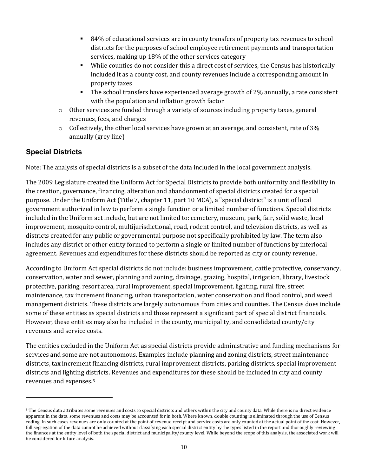- 84% of educational services are in county transfers of property tax revenues to school districts for the purposes of school employee retirement payments and transportation services, making up 18% of the other services category
- While counties do not consider this a direct cost of services, the Census has historically included it as a county cost, and county revenues include a corresponding amount in property taxes
- The school transfers have experienced average growth of 2% annually, a rate consistent with the population and inflation growth factor
- $\circ$  Other services are funded through a variety of sources including property taxes, general revenues, fees, and charges
- $\circ$  Collectively, the other local services have grown at an average, and consistent, rate of 3% annually (grey line)

## **Special Districts**

j

Note: The analysis of special districts is a subset of the data included in the local government analysis.

The 2009 Legislature created the Uniform Act for Special Districts to provide both uniformity and flexibility in the creation, governance, financing, alteration and abandonment of special districts created for a special purpose. Under the Uniform Act (Title 7, chapter 11, part 10 MCA), a "special district" is a unit of local government authorized in law to perform a single function or a limited number of functions. Special districts included in the Uniform act include, but are not limited to: cemetery, museum, park, fair, solid waste, local improvement, mosquito control, multijurisdictional, road, rodent control, and television districts, as well as districts created for any public or governmental purpose not specifically prohibited by law. The term also includes any district or other entity formed to perform a single or limited number of functions by interlocal agreement. Revenues and expenditures for these districts should be reported as city or county revenue.

According to Uniform Act special districts do not include: business improvement, cattle protective, conservancy, conservation, water and sewer, planning and zoning, drainage, grazing, hospital, irrigation, library, livestock protective, parking, resort area, rural improvement, special improvement, lighting, rural fire, street maintenance, tax increment financing, urban transportation, water conservation and flood control, and weed management districts. These districts are largely autonomous from cities and counties. The Census does include some of these entities as special districts and those represent a significant part of special district financials. However, these entities may also be included in the county, municipality, and consolidated county/city revenues and service costs.

The entities excluded in the Uniform Act as special districts provide administrative and funding mechanisms for services and some are not autonomous. Examples include planning and zoning districts, street maintenance districts, tax increment financing districts, rural improvement districts, parking districts, special improvement districts and lighting districts. Revenues and expenditures for these should be included in city and county revenues and expenses.[5](#page-10-0)

<span id="page-10-0"></span><sup>5</sup> The Census data attributes some revenues and costs to special districts and others within the city and county data. While there is no direct evidence apparent in the data, some revenues and costs may be accounted for in both. Where known, double counting is eliminated through the use of Census coding. In such cases revenues are only counted at the point of revenue receipt and service costs are only counted at the actual point of the cost. However, full segregation of the data cannot be achieved without classifying each special district entity by the types listed in the report and thoroughly reviewing the finances at the entity level of both the special district and municipality/county level. While beyond the scope of this analysis, the associated work will be considered for future analysis.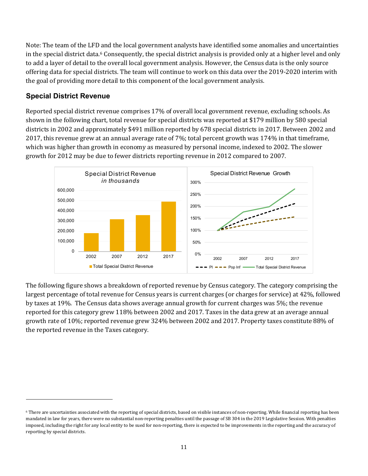Note: The team of the LFD and the local government analysts have identified some anomalies and uncertainties in the special district data.<sup>[6](#page-11-0)</sup> Consequently, the special district analysis is provided only at a higher level and only to add a layer of detail to the overall local government analysis. However, the Census data is the only source offering data for special districts. The team will continue to work on this data over the 2019-2020 interim with the goal of providing more detail to this component of the local government analysis.

## **Special District Revenue**

j

Reported special district revenue comprises 17% of overall local government revenue, excluding schools. As shown in the following chart, total revenue for special districts was reported at \$179 million by 580 special districts in 2002 and approximately \$491 million reported by 678 special districts in 2017. Between 2002 and 2017, this revenue grew at an annual average rate of 7%; total percent growth was 174% in that timeframe, which was higher than growth in economy as measured by personal income, indexed to 2002. The slower growth for 2012 may be due to fewer districts reporting revenue in 2012 compared to 2007.



The following figure shows a breakdown of reported revenue by Census category. The category comprising the largest percentage of total revenue for Census years is current charges (or charges for service) at 42%, followed by taxes at 19%. The Census data shows average annual growth for current charges was 5%; the revenue reported for this category grew 118% between 2002 and 2017. Taxes in the data grew at an average annual growth rate of 10%; reported revenue grew 324% between 2002 and 2017. Property taxes constitute 88% of the reported revenue in the Taxes category.

<span id="page-11-0"></span><sup>&</sup>lt;sup>6</sup> There are uncertainties associated with the reporting of special districts, based on visible instances of non-reporting. While financial reporting has been mandated in law for years, there were no substantial non-reporting penalties until the passage of SB 304 in the 2019 Legislative Session. With penalties imposed, including the right for any local entity to be sued for non-reporting, there is expected to be improvements in the reporting and the accuracy of reporting by special districts.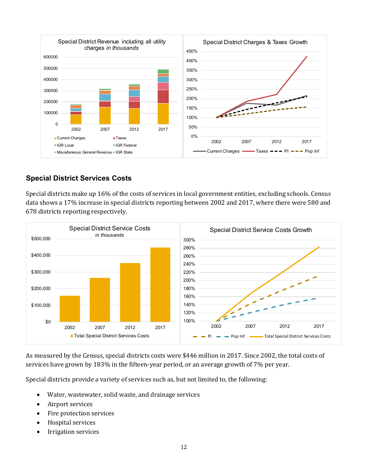

## **Special District Services Costs**

Special districts make up 16% of the costs of services in local government entities, excluding schools. Census data shows a 17% increase in special districts reporting between 2002 and 2017, where there were 580 and 678 districts reporting respectively.



As measured by the Census, special districts costs were \$446 million in 2017. Since 2002, the total costs of services have grown by 183% in the fifteen-year period, or an average growth of 7% per year.

Special districts provide a variety of services such as, but not limited to, the following:

- Water, wastewater, solid waste, and drainage services
- Airport services
- Fire protection services
- Hospital services
- Irrigation services